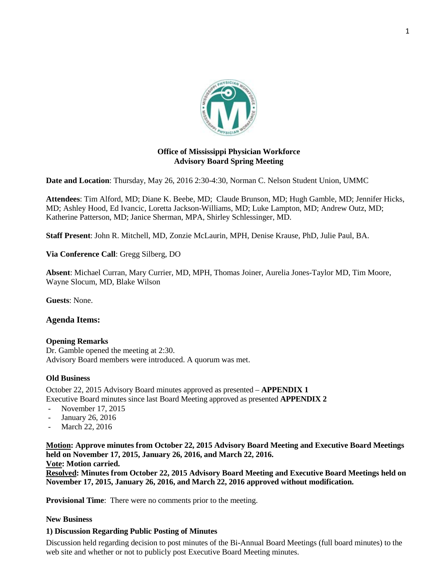

# **Office of Mississippi Physician Workforce Advisory Board Spring Meeting**

**Date and Location**: Thursday, May 26, 2016 2:30-4:30, Norman C. Nelson Student Union, UMMC

**Attendees**: Tim Alford, MD; Diane K. Beebe, MD; Claude Brunson, MD; Hugh Gamble, MD; Jennifer Hicks, MD; Ashley Hood, Ed Ivancic, Loretta Jackson-Williams, MD; Luke Lampton, MD; Andrew Outz, MD; Katherine Patterson, MD; Janice Sherman, MPA, Shirley Schlessinger, MD.

**Staff Present**: John R. Mitchell, MD, Zonzie McLaurin, MPH, Denise Krause, PhD, Julie Paul, BA.

**Via Conference Call**: Gregg Silberg, DO

**Absent**: Michael Curran, Mary Currier, MD, MPH, Thomas Joiner, Aurelia Jones-Taylor MD, Tim Moore, Wayne Slocum, MD, Blake Wilson

**Guests**: None.

### **Agenda Items:**

#### **Opening Remarks**

Dr. Gamble opened the meeting at 2:30. Advisory Board members were introduced. A quorum was met.

#### **Old Business**

October 22, 2015 Advisory Board minutes approved as presented – **APPENDIX 1** Executive Board minutes since last Board Meeting approved as presented **APPENDIX 2**

- November 17, 2015
- January 26, 2016
- March 22, 2016

**Motion: Approve minutes from October 22, 2015 Advisory Board Meeting and Executive Board Meetings held on November 17, 2015, January 26, 2016, and March 22, 2016. Vote: Motion carried.**

**Resolved: Minutes from October 22, 2015 Advisory Board Meeting and Executive Board Meetings held on November 17, 2015, January 26, 2016, and March 22, 2016 approved without modification.** 

**Provisional Time**: There were no comments prior to the meeting.

#### **New Business**

### **1) Discussion Regarding Public Posting of Minutes**

Discussion held regarding decision to post minutes of the Bi-Annual Board Meetings (full board minutes) to the web site and whether or not to publicly post Executive Board Meeting minutes.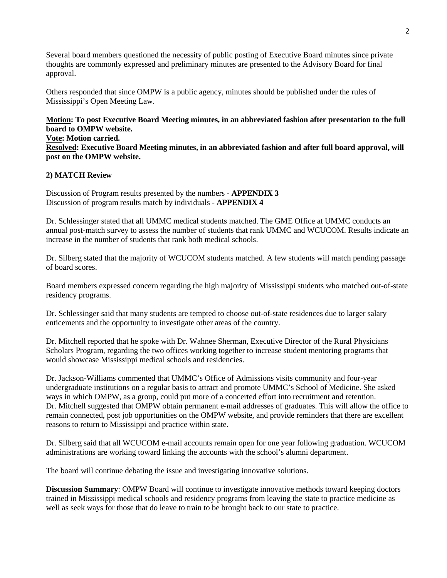Several board members questioned the necessity of public posting of Executive Board minutes since private thoughts are commonly expressed and preliminary minutes are presented to the Advisory Board for final approval.

Others responded that since OMPW is a public agency, minutes should be published under the rules of Mississippi's Open Meeting Law.

**Motion: To post Executive Board Meeting minutes, in an abbreviated fashion after presentation to the full board to OMPW website. Vote: Motion carried. Resolved: Executive Board Meeting minutes, in an abbreviated fashion and after full board approval, will post on the OMPW website.**

#### **2) MATCH Review**

Discussion of Program results presented by the numbers - **APPENDIX 3** Discussion of program results match by individuals - **APPENDIX 4**

Dr. Schlessinger stated that all UMMC medical students matched. The GME Office at UMMC conducts an annual post-match survey to assess the number of students that rank UMMC and WCUCOM. Results indicate an increase in the number of students that rank both medical schools.

Dr. Silberg stated that the majority of WCUCOM students matched. A few students will match pending passage of board scores.

Board members expressed concern regarding the high majority of Mississippi students who matched out-of-state residency programs.

Dr. Schlessinger said that many students are tempted to choose out-of-state residences due to larger salary enticements and the opportunity to investigate other areas of the country.

Dr. Mitchell reported that he spoke with Dr. Wahnee Sherman, Executive Director of the Rural Physicians Scholars Program, regarding the two offices working together to increase student mentoring programs that would showcase Mississippi medical schools and residencies.

Dr. Jackson-Williams commented that UMMC's Office of Admissions visits community and four-year undergraduate institutions on a regular basis to attract and promote UMMC's School of Medicine. She asked ways in which OMPW, as a group, could put more of a concerted effort into recruitment and retention. Dr. Mitchell suggested that OMPW obtain permanent e-mail addresses of graduates. This will allow the office to remain connected, post job opportunities on the OMPW website, and provide reminders that there are excellent reasons to return to Mississippi and practice within state.

Dr. Silberg said that all WCUCOM e-mail accounts remain open for one year following graduation. WCUCOM administrations are working toward linking the accounts with the school's alumni department.

The board will continue debating the issue and investigating innovative solutions.

**Discussion Summary**: OMPW Board will continue to investigate innovative methods toward keeping doctors trained in Mississippi medical schools and residency programs from leaving the state to practice medicine as well as seek ways for those that do leave to train to be brought back to our state to practice.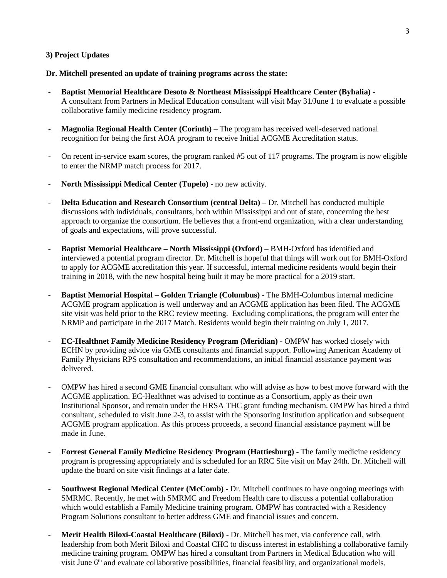#### **3) Project Updates**

#### **Dr. Mitchell presented an update of training programs across the state:**

- **Baptist Memorial Healthcare Desoto & Northeast Mississippi Healthcare Center (Byhalia)** A consultant from Partners in Medical Education consultant will visit May 31/June 1 to evaluate a possible collaborative family medicine residency program.
- **Magnolia Regional Health Center (Corinth)** The program has received well-deserved national recognition for being the first AOA program to receive Initial ACGME Accreditation status.
- On recent in-service exam scores, the program ranked #5 out of 117 programs. The program is now eligible to enter the NRMP match process for 2017.
- **North Mississippi Medical Center (Tupelo)** no new activity.
- **Delta Education and Research Consortium (central Delta)** Dr. Mitchell has conducted multiple discussions with individuals, consultants, both within Mississippi and out of state, concerning the best approach to organize the consortium. He believes that a front-end organization, with a clear understanding of goals and expectations, will prove successful.
- **Baptist Memorial Healthcare – North Mississippi (Oxford)** BMH-Oxford has identified and interviewed a potential program director. Dr. Mitchell is hopeful that things will work out for BMH-Oxford to apply for ACGME accreditation this year. If successful, internal medicine residents would begin their training in 2018, with the new hospital being built it may be more practical for a 2019 start.
- **Baptist Memorial Hospital – Golden Triangle (Columbus)** The BMH-Columbus internal medicine ACGME program application is well underway and an ACGME application has been filed. The ACGME site visit was held prior to the RRC review meeting. Excluding complications, the program will enter the NRMP and participate in the 2017 Match. Residents would begin their training on July 1, 2017.
- **EC-Healthnet Family Medicine Residency Program (Meridian)** OMPW has worked closely with ECHN by providing advice via GME consultants and financial support. Following American Academy of Family Physicians RPS consultation and recommendations, an initial financial assistance payment was delivered.
- OMPW has hired a second GME financial consultant who will advise as how to best move forward with the ACGME application. EC-Healthnet was advised to continue as a Consortium, apply as their own Institutional Sponsor, and remain under the HRSA THC grant funding mechanism. OMPW has hired a third consultant, scheduled to visit June 2-3, to assist with the Sponsoring Institution application and subsequent ACGME program application. As this process proceeds, a second financial assistance payment will be made in June.
- **Forrest General Family Medicine Residency Program (Hattiesburg)** The family medicine residency program is progressing appropriately and is scheduled for an RRC Site visit on May 24th. Dr. Mitchell will update the board on site visit findings at a later date.
- **Southwest Regional Medical Center (McComb)** Dr. Mitchell continues to have ongoing meetings with SMRMC. Recently, he met with SMRMC and Freedom Health care to discuss a potential collaboration which would establish a Family Medicine training program. OMPW has contracted with a Residency Program Solutions consultant to better address GME and financial issues and concern.
- **Merit Health Biloxi-Coastal Healthcare (Biloxi)** Dr. Mitchell has met, via conference call, with leadership from both Merit Biloxi and Coastal CHC to discuss interest in establishing a collaborative family medicine training program. OMPW has hired a consultant from Partners in Medical Education who will visit June 6<sup>th</sup> and evaluate collaborative possibilities, financial feasibility, and organizational models.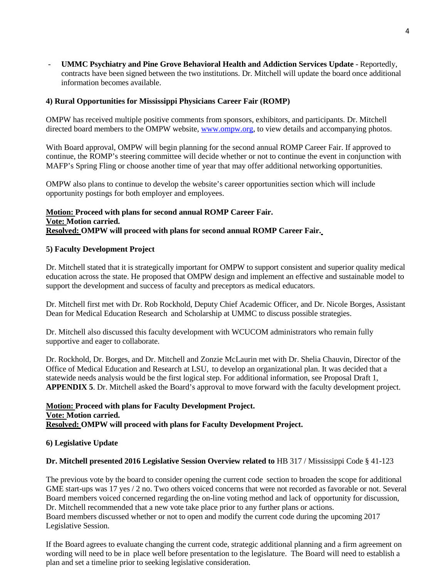- **UMMC Psychiatry and Pine Grove Behavioral Health and Addiction Services Update** - Reportedly, contracts have been signed between the two institutions. Dr. Mitchell will update the board once additional information becomes available.

### **4) Rural Opportunities for Mississippi Physicians Career Fair (ROMP)**

OMPW has received multiple positive comments from sponsors, exhibitors, and participants. Dr. Mitchell directed board members to the OMPW website, [www.ompw.org,](http://www.ompw.org/) to view details and accompanying photos.

With Board approval, OMPW will begin planning for the second annual ROMP Career Fair. If approved to continue, the ROMP's steering committee will decide whether or not to continue the event in conjunction with MAFP's Spring Fling or choose another time of year that may offer additional networking opportunities.

OMPW also plans to continue to develop the website's career opportunities section which will include opportunity postings for both employer and employees.

### **Motion: Proceed with plans for second annual ROMP Career Fair. Vote: Motion carried. Resolved: OMPW will proceed with plans for second annual ROMP Career Fair.**

#### **5) Faculty Development Project**

Dr. Mitchell stated that it is strategically important for OMPW to support consistent and superior quality medical education across the state. He proposed that OMPW design and implement an effective and sustainable model to support the development and success of faculty and preceptors as medical educators.

Dr. Mitchell first met with Dr. Rob Rockhold, Deputy Chief Academic Officer, and Dr. Nicole Borges, Assistant Dean for Medical Education Research and Scholarship at UMMC to discuss possible strategies.

Dr. Mitchell also discussed this faculty development with WCUCOM administrators who remain fully supportive and eager to collaborate.

Dr. Rockhold, Dr. Borges, and Dr. Mitchell and Zonzie McLaurin met with Dr. Shelia Chauvin, Director of the Office of Medical Education and Research at LSU, to develop an organizational plan. It was decided that a statewide needs analysis would be the first logical step. For additional information, see Proposal Draft 1, **APPENDIX 5**. Dr. Mitchell asked the Board's approval to move forward with the faculty development project.

# **Motion: Proceed with plans for Faculty Development Project. Vote: Motion carried. Resolved: OMPW will proceed with plans for Faculty Development Project.**

#### **6) Legislative Update**

#### **Dr. Mitchell presented 2016 Legislative Session Overview related to** HB 317 / Mississippi Code § 41-123

The previous vote by the board to consider opening the current code section to broaden the scope for additional GME start-ups was 17 yes / 2 no. Two others voiced concerns that were not recorded as favorable or not. Several Board members voiced concerned regarding the on-line voting method and lack of opportunity for discussion, Dr. Mitchell recommended that a new vote take place prior to any further plans or actions. Board members discussed whether or not to open and modify the current code during the upcoming 2017 Legislative Session.

If the Board agrees to evaluate changing the current code, strategic additional planning and a firm agreement on wording will need to be in place well before presentation to the legislature. The Board will need to establish a plan and set a timeline prior to seeking legislative consideration.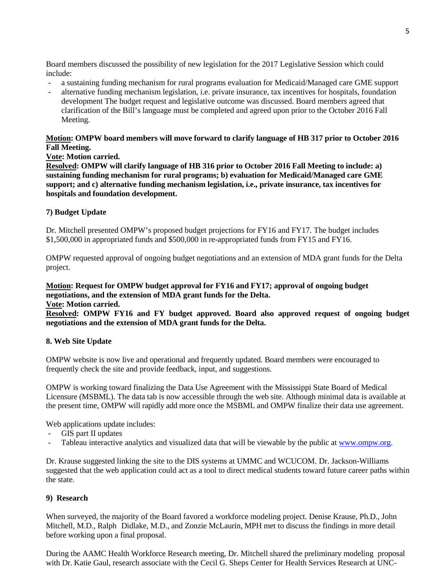Board members discussed the possibility of new legislation for the 2017 Legislative Session which could include:

- a sustaining funding mechanism for rural programs evaluation for Medicaid/Managed care GME support
- alternative funding mechanism legislation, i.e. private insurance, tax incentives for hospitals, foundation development The budget request and legislative outcome was discussed. Board members agreed that clarification of the Bill's language must be completed and agreed upon prior to the October 2016 Fall Meeting.

# **Motion: OMPW board members will move forward to clarify language of HB 317 prior to October 2016 Fall Meeting.**

**Vote: Motion carried.**

**Resolved: OMPW will clarify language of HB 316 prior to October 2016 Fall Meeting to include: a) sustaining funding mechanism for rural programs; b) evaluation for Medicaid/Managed care GME support; and c) alternative funding mechanism legislation, i.e., private insurance, tax incentives for hospitals and foundation development.**

# **7) Budget Update**

Dr. Mitchell presented OMPW's proposed budget projections for FY16 and FY17. The budget includes \$1,500,000 in appropriated funds and \$500,000 in re-appropriated funds from FY15 and FY16.

OMPW requested approval of ongoing budget negotiations and an extension of MDA grant funds for the Delta project.

#### **Motion: Request for OMPW budget approval for FY16 and FY17; approval of ongoing budget negotiations, and the extension of MDA grant funds for the Delta. Vote: Motion carried.**

**Resolved: OMPW FY16 and FY budget approved. Board also approved request of ongoing budget negotiations and the extension of MDA grant funds for the Delta.** 

### **8. Web Site Update**

OMPW website is now live and operational and frequently updated. Board members were encouraged to frequently check the site and provide feedback, input, and suggestions.

OMPW is working toward finalizing the Data Use Agreement with the Mississippi State Board of Medical Licensure (MSBML). The data tab is now accessible through the web site. Although minimal data is available at the present time, OMPW will rapidly add more once the MSBML and OMPW finalize their data use agreement.

Web applications update includes:

- GIS part II updates
- Tableau interactive analytics and visualized data that will be viewable by the public at [www.ompw.org.](http://www.ompw.org/)

Dr. Krause suggested linking the site to the DIS systems at UMMC and WCUCOM. Dr. Jackson-Williams suggested that the web application could act as a tool to direct medical students toward future career paths within the state.

### **9) Research**

When surveyed, the majority of the Board favored a workforce modeling project. Denise Krause, Ph.D., John Mitchell, M.D., Ralph Didlake, M.D., and Zonzie McLaurin, MPH met to discuss the findings in more detail before working upon a final proposal.

During the AAMC Health Workforce Research meeting, Dr. Mitchell shared the preliminary modeling proposal with Dr. Katie Gaul, research associate with the Cecil G. Sheps Center for Health Services Research at UNC-